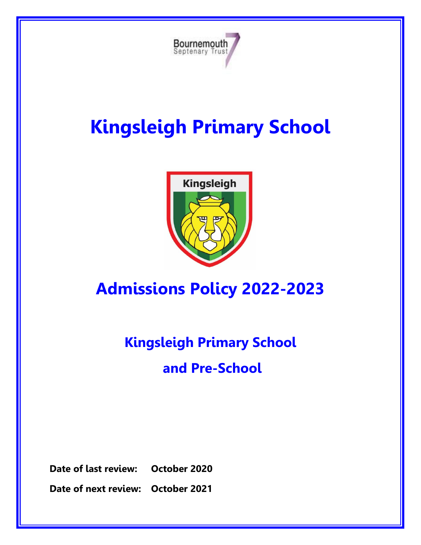

# **Kingsleigh Primary School**



# **Admissions Policy 2022-2023**

# **Kingsleigh Primary School and Pre-School**

**Date of last review: October 2020**

**Date of next review: October 2021**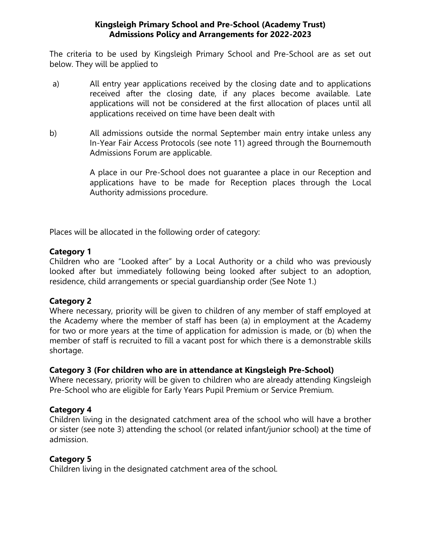#### **Kingsleigh Primary School and Pre-School (Academy Trust) Admissions Policy and Arrangements for 2022-2023**

The criteria to be used by Kingsleigh Primary School and Pre-School are as set out below. They will be applied to

- a) All entry year applications received by the closing date and to applications received after the closing date, if any places become available. Late applications will not be considered at the first allocation of places until all applications received on time have been dealt with
- b) All admissions outside the normal September main entry intake unless any In-Year Fair Access Protocols (see note 11) agreed through the Bournemouth Admissions Forum are applicable.

A place in our Pre-School does not guarantee a place in our Reception and applications have to be made for Reception places through the Local Authority admissions procedure.

Places will be allocated in the following order of category:

#### **Category 1**

Children who are "Looked after" by a Local Authority or a child who was previously looked after but immediately following being looked after subject to an adoption, residence, child arrangements or special guardianship order (See Note 1.)

# **Category 2**

Where necessary, priority will be given to children of any member of staff employed at the Academy where the member of staff has been (a) in employment at the Academy for two or more years at the time of application for admission is made, or (b) when the member of staff is recruited to fill a vacant post for which there is a demonstrable skills shortage.

# **Category 3 (For children who are in attendance at Kingsleigh Pre-School)**

Where necessary, priority will be given to children who are already attending Kingsleigh Pre-School who are eligible for Early Years Pupil Premium or Service Premium.

# **Category 4**

Children living in the designated catchment area of the school who will have a brother or sister (see note 3) attending the school (or related infant/junior school) at the time of admission.

# **Category 5**

Children living in the designated catchment area of the school.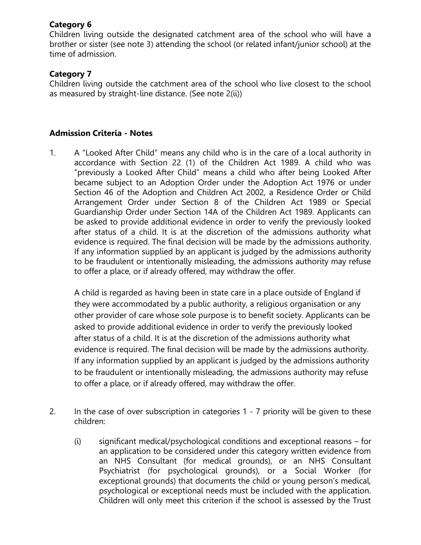#### **Category 6**

Children living outside the designated catchment area of the school who will have a brother or sister (see note 3) attending the school (or related infant/junior school) at the time of admission.

#### **Category 7**

Children living outside the catchment area of the school who live closest to the school as measured by straight-line distance. (See note 2(ii))

#### **Admission Criteria - Notes**

1. A "Looked After Child" means any child who is in the care of a local authority in accordance with Section 22 (1) of the Children Act 1989. A child who was "previously a Looked After Child" means a child who after being Looked After became subject to an Adoption Order under the Adoption Act 1976 or under Section 46 of the Adoption and Children Act 2002, a Residence Order or Child Arrangement Order under Section 8 of the Children Act 1989 or Special Guardianship Order under Section 14A of the Children Act 1989. Applicants can be asked to provide additional evidence in order to verify the previously looked after status of a child. It is at the discretion of the admissions authority what evidence is required. The final decision will be made by the admissions authority. If any information supplied by an applicant is judged by the admissions authority to be fraudulent or intentionally misleading, the admissions authority may refuse to offer a place, or if already offered, may withdraw the offer.

A child is regarded as having been in state care in a place outside of England if they were accommodated by a public authority, a religious organisation or any other provider of care whose sole purpose is to benefit society. Applicants can be asked to provide additional evidence in order to verify the previously looked after status of a child. It is at the discretion of the admissions authority what evidence is required. The final decision will be made by the admissions authority. If any information supplied by an applicant is judged by the admissions authority to be fraudulent or intentionally misleading, the admissions authority may refuse to offer a place, or if already offered, may withdraw the offer.

- 2. In the case of over subscription in categories 1 7 priority will be given to these children:
	- (i) significant medical/psychological conditions and exceptional reasons for an application to be considered under this category written evidence from an NHS Consultant (for medical grounds), or an NHS Consultant Psychiatrist (for psychological grounds), or a Social Worker (for exceptional grounds) that documents the child or young person's medical, psychological or exceptional needs must be included with the application. Children will only meet this criterion if the school is assessed by the Trust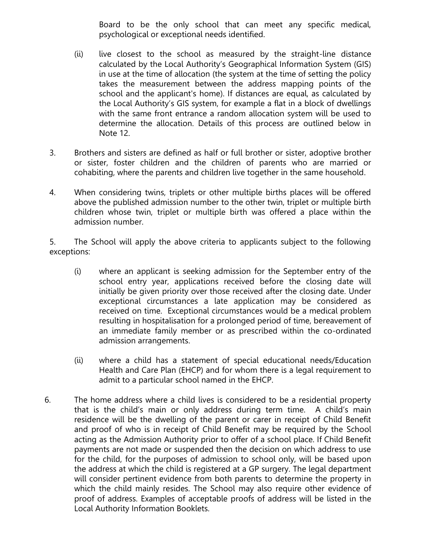Board to be the only school that can meet any specific medical, psychological or exceptional needs identified.

- (ii) live closest to the school as measured by the straight-line distance calculated by the Local Authority's Geographical Information System (GIS) in use at the time of allocation (the system at the time of setting the policy takes the measurement between the address mapping points of the school and the applicant's home). If distances are equal, as calculated by the Local Authority's GIS system, for example a flat in a block of dwellings with the same front entrance a random allocation system will be used to determine the allocation. Details of this process are outlined below in Note 12.
- 3. Brothers and sisters are defined as half or full brother or sister, adoptive brother or sister, foster children and the children of parents who are married or cohabiting, where the parents and children live together in the same household.
- 4. When considering twins, triplets or other multiple births places will be offered above the published admission number to the other twin, triplet or multiple birth children whose twin, triplet or multiple birth was offered a place within the admission number.

5. The School will apply the above criteria to applicants subject to the following exceptions:

- (i) where an applicant is seeking admission for the September entry of the school entry year, applications received before the closing date will initially be given priority over those received after the closing date. Under exceptional circumstances a late application may be considered as received on time. Exceptional circumstances would be a medical problem resulting in hospitalisation for a prolonged period of time, bereavement of an immediate family member or as prescribed within the co-ordinated admission arrangements.
- (ii) where a child has a statement of special educational needs/Education Health and Care Plan (EHCP) and for whom there is a legal requirement to admit to a particular school named in the EHCP.
- 6. The home address where a child lives is considered to be a residential property that is the child's main or only address during term time. A child's main residence will be the dwelling of the parent or carer in receipt of Child Benefit and proof of who is in receipt of Child Benefit may be required by the School acting as the Admission Authority prior to offer of a school place. If Child Benefit payments are not made or suspended then the decision on which address to use for the child, for the purposes of admission to school only, will be based upon the address at which the child is registered at a GP surgery. The legal department will consider pertinent evidence from both parents to determine the property in which the child mainly resides. The School may also require other evidence of proof of address. Examples of acceptable proofs of address will be listed in the Local Authority Information Booklets.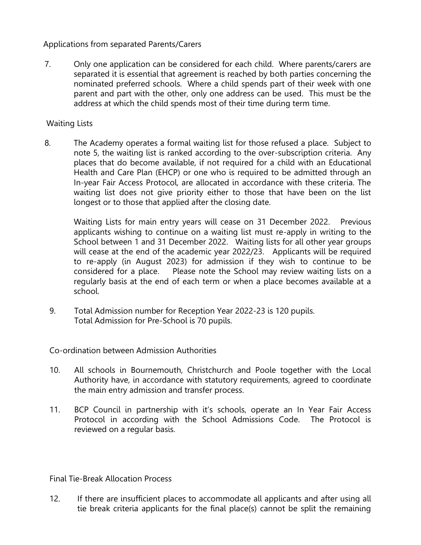#### Applications from separated Parents/Carers

7. Only one application can be considered for each child. Where parents/carers are separated it is essential that agreement is reached by both parties concerning the nominated preferred schools. Where a child spends part of their week with one parent and part with the other, only one address can be used. This must be the address at which the child spends most of their time during term time.

#### Waiting Lists

8. The Academy operates a formal waiting list for those refused a place. Subject to note 5, the waiting list is ranked according to the over-subscription criteria. Any places that do become available, if not required for a child with an Educational Health and Care Plan (EHCP) or one who is required to be admitted through an In-year Fair Access Protocol, are allocated in accordance with these criteria. The waiting list does not give priority either to those that have been on the list longest or to those that applied after the closing date.

Waiting Lists for main entry years will cease on 31 December 2022. Previous applicants wishing to continue on a waiting list must re-apply in writing to the School between 1 and 31 December 2022. Waiting lists for all other year groups will cease at the end of the academic year 2022/23. Applicants will be required to re-apply (in August 2023) for admission if they wish to continue to be considered for a place. Please note the School may review waiting lists on a regularly basis at the end of each term or when a place becomes available at a school.

9. Total Admission number for Reception Year 2022-23 is 120 pupils. Total Admission for Pre-School is 70 pupils.

Co-ordination between Admission Authorities

- 10. All schools in Bournemouth, Christchurch and Poole together with the Local Authority have, in accordance with statutory requirements, agreed to coordinate the main entry admission and transfer process.
- 11. BCP Council in partnership with it's schools, operate an In Year Fair Access Protocol in according with the School Admissions Code. The Protocol is reviewed on a regular basis.

Final Tie-Break Allocation Process

12. If there are insufficient places to accommodate all applicants and after using all tie break criteria applicants for the final place(s) cannot be split the remaining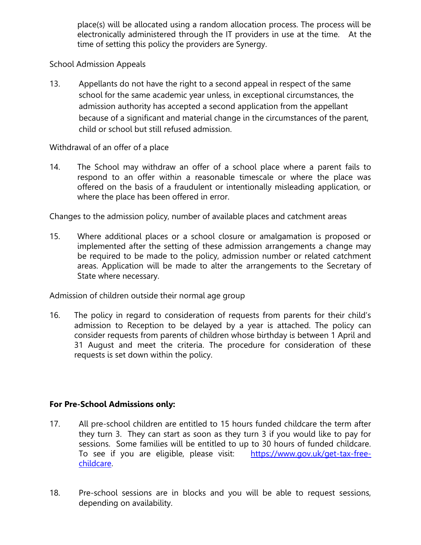place(s) will be allocated using a random allocation process. The process will be electronically administered through the IT providers in use at the time. At the time of setting this policy the providers are Synergy.

#### School Admission Appeals

13. Appellants do not have the right to a second appeal in respect of the same school for the same academic year unless, in exceptional circumstances, the admission authority has accepted a second application from the appellant because of a significant and material change in the circumstances of the parent, child or school but still refused admission.

#### Withdrawal of an offer of a place

14. The School may withdraw an offer of a school place where a parent fails to respond to an offer within a reasonable timescale or where the place was offered on the basis of a fraudulent or intentionally misleading application, or where the place has been offered in error.

Changes to the admission policy, number of available places and catchment areas

15. Where additional places or a school closure or amalgamation is proposed or implemented after the setting of these admission arrangements a change may be required to be made to the policy, admission number or related catchment areas. Application will be made to alter the arrangements to the Secretary of State where necessary.

Admission of children outside their normal age group

16. The policy in regard to consideration of requests from parents for their child's admission to Reception to be delayed by a year is attached. The policy can consider requests from parents of children whose birthday is between 1 April and 31 August and meet the criteria. The procedure for consideration of these requests is set down within the policy.

#### **For Pre-School Admissions only:**

- 17. All pre-school children are entitled to 15 hours funded childcare the term after they turn 3. They can start as soon as they turn 3 if you would like to pay for sessions. Some families will be entitled to up to 30 hours of funded childcare. To see if you are eligible, please visit: [https://www.gov.uk/get-tax-free](https://www.gov.uk/get-tax-free-childcare)[childcare.](https://www.gov.uk/get-tax-free-childcare)
- 18. Pre-school sessions are in blocks and you will be able to request sessions, depending on availability.